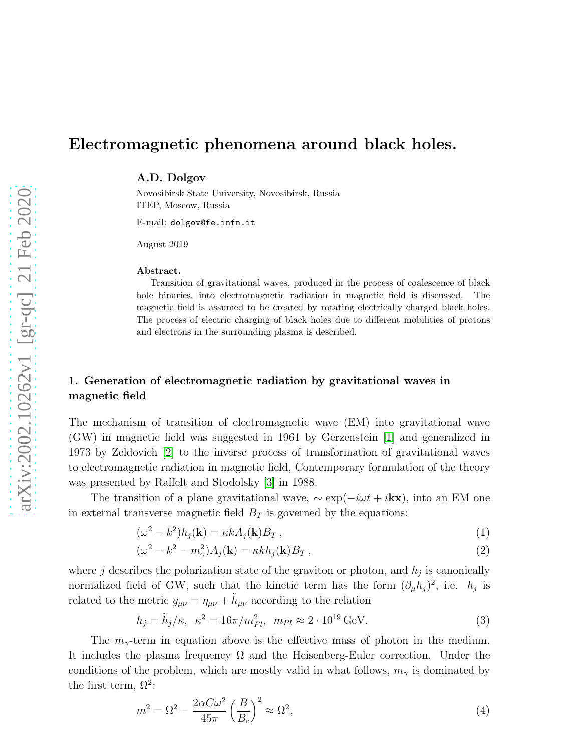# Electromagnetic phenomena around black holes.

A.D. Dolgov

Novosibirsk State University, Novosibirsk, Russia ITEP, Moscow, Russia

E-mail: dolgov@fe.infn.it

August 2019

#### Abstract.

Transition of gravitational waves, produced in the process of coalescence of black hole binaries, into electromagnetic radiation in magnetic field is discussed. The magnetic field is assumed to be created by rotating electrically charged black holes. The process of electric charging of black holes due to different mobilities of protons and electrons in the surrounding plasma is described.

## 1. Generation of electromagnetic radiation by gravitational waves in magnetic field

The mechanism of transition of electromagnetic wave (EM) into gravitational wave (GW) in magnetic field was suggested in 1961 by Gerzenstein [\[1\]](#page-5-0) and generalized in 1973 by Zeldovich [\[2\]](#page-5-1) to the inverse process of transformation of gravitational waves to electromagnetic radiation in magnetic field, Contemporary formulation of the theory was presented by Raffelt and Stodolsky [\[3\]](#page-5-2) in 1988.

The transition of a plane gravitational wave,  $\sim \exp(-i\omega t + i kx)$ , into an EM one in external transverse magnetic field  $B_T$  is governed by the equations:

<span id="page-0-0"></span>
$$
(\omega^2 - k^2)h_j(\mathbf{k}) = \kappa k A_j(\mathbf{k})B_T, \qquad (1)
$$

$$
(\omega^2 - k^2 - m_\gamma^2) A_j(\mathbf{k}) = \kappa k h_j(\mathbf{k}) B_T, \qquad (2)
$$

where  $j$  describes the polarization state of the graviton or photon, and  $h_j$  is canonically normalized field of GW, such that the kinetic term has the form  $(\partial_{\mu}h_j)^2$ , i.e.  $h_j$  is related to the metric  $g_{\mu\nu} = \eta_{\mu\nu} + \tilde{h}_{\mu\nu}$  according to the relation

$$
h_j = \tilde{h}_j/\kappa, \ \kappa^2 = 16\pi/m_{Pl}^2, \ m_{Pl} \approx 2 \cdot 10^{19} \,\text{GeV}.
$$
 (3)

The  $m_{\gamma}$ -term in equation above is the effective mass of photon in the medium. It includes the plasma frequency  $\Omega$  and the Heisenberg-Euler correction. Under the conditions of the problem, which are mostly valid in what follows,  $m_{\gamma}$  is dominated by the first term,  $\Omega^2$ :

$$
m^2 = \Omega^2 - \frac{2\alpha C\omega^2}{45\pi} \left(\frac{B}{B_c}\right)^2 \approx \Omega^2,\tag{4}
$$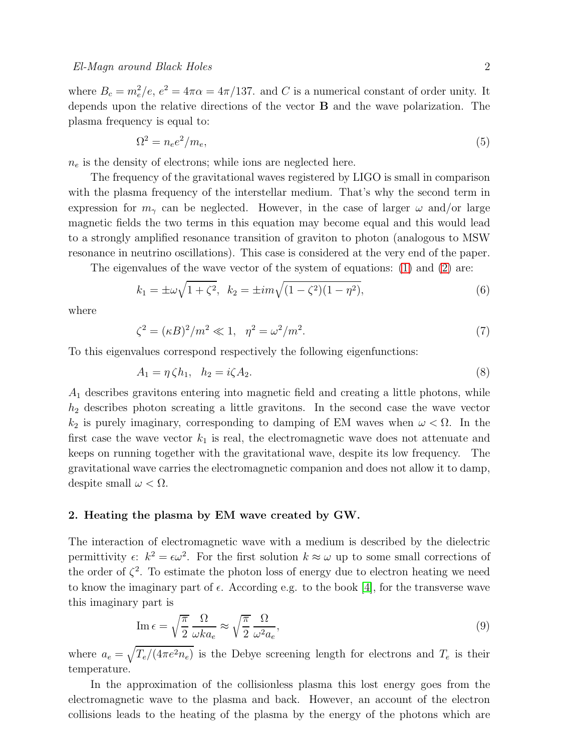where  $B_c = m_e^2/e$ ,  $e^2 = 4\pi\alpha = 4\pi/137$ . and C is a numerical constant of order unity. It depends upon the relative directions of the vector B and the wave polarization. The plasma frequency is equal to:

$$
\Omega^2 = n_e e^2 / m_e,\tag{5}
$$

 $n_e$  is the density of electrons; while ions are neglected here.

The frequency of the gravitational waves registered by LIGO is small in comparison with the plasma frequency of the interstellar medium. That's why the second term in expression for  $m_{\gamma}$  can be neglected. However, in the case of larger  $\omega$  and/or large magnetic fields the two terms in this equation may become equal and this would lead to a strongly amplified resonance transition of graviton to photon (analogous to MSW resonance in neutrino oscillations). This case is considered at the very end of the paper.

The eigenvalues of the wave vector of the system of equations: [\(1\)](#page-0-0) and [\(2\)](#page-0-0) are:

$$
k_1 = \pm \omega \sqrt{1 + \zeta^2}, \ \ k_2 = \pm im\sqrt{(1 - \zeta^2)(1 - \eta^2)}, \tag{6}
$$

where

$$
\zeta^2 = (\kappa B)^2 / m^2 \ll 1, \ \ \eta^2 = \omega^2 / m^2. \tag{7}
$$

To this eigenvalues correspond respectively the following eigenfunctions:

$$
A_1 = \eta \zeta h_1, \quad h_2 = i\zeta A_2. \tag{8}
$$

 $A_1$  describes gravitons entering into magnetic field and creating a little photons, while  $h_2$  describes photon screating a little gravitons. In the second case the wave vector  $k_2$  is purely imaginary, corresponding to damping of EM waves when  $\omega < \Omega$ . In the first case the wave vector  $k_1$  is real, the electromagnetic wave does not attenuate and keeps on running together with the gravitational wave, despite its low frequency. The gravitational wave carries the electromagnetic companion and does not allow it to damp, despite small  $\omega < \Omega$ .

#### 2. Heating the plasma by EM wave created by GW.

The interaction of electromagnetic wave with a medium is described by the dielectric permittivity  $\epsilon$ :  $k^2 = \epsilon \omega^2$ . For the first solution  $k \approx \omega$  up to some small corrections of the order of  $\zeta^2$ . To estimate the photon loss of energy due to electron heating we need to know the imaginary part of  $\epsilon$ . According e.g. to the book [\[4\]](#page-5-3), for the transverse wave this imaginary part is

$$
\operatorname{Im}\epsilon = \sqrt{\frac{\pi}{2}} \frac{\Omega}{\omega k a_e} \approx \sqrt{\frac{\pi}{2}} \frac{\Omega}{\omega^2 a_e},\tag{9}
$$

where  $a_e = \sqrt{T_e/(4\pi e^2 n_e)}$  is the Debye screening length for electrons and  $T_e$  is their temperature.

In the approximation of the collisionless plasma this lost energy goes from the electromagnetic wave to the plasma and back. However, an account of the electron collisions leads to the heating of the plasma by the energy of the photons which are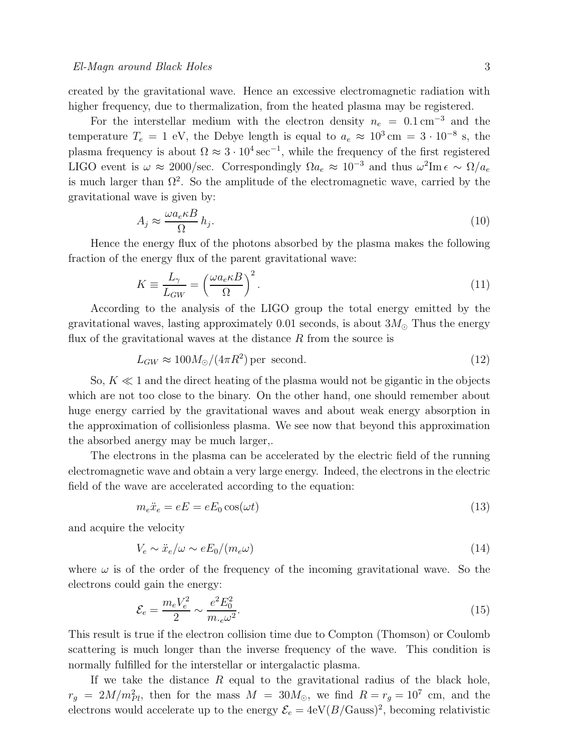created by the gravitational wave. Hence an excessive electromagnetic radiation with higher frequency, due to thermalization, from the heated plasma may be registered.

For the interstellar medium with the electron density  $n_e = 0.1 \text{ cm}^{-3}$  and the temperature  $T_e = 1$  eV, the Debye length is equal to  $a_e \approx 10^3$  cm =  $3 \cdot 10^{-8}$  s, the plasma frequency is about  $\Omega \approx 3 \cdot 10^4 \,\text{sec}^{-1}$ , while the frequency of the first registered LIGO event is  $\omega \approx 2000/\text{sec}$ . Correspondingly  $\Omega a_e \approx 10^{-3}$  and thus  $\omega^2 \text{Im} \epsilon \sim \Omega/a_e$ is much larger than  $\Omega^2$ . So the amplitude of the electromagnetic wave, carried by the gravitational wave is given by:

$$
A_j \approx \frac{\omega a_e \kappa B}{\Omega} h_j. \tag{10}
$$

Hence the energy flux of the photons absorbed by the plasma makes the following fraction of the energy flux of the parent gravitational wave:

$$
K \equiv \frac{L_{\gamma}}{L_{GW}} = \left(\frac{\omega a_e \kappa B}{\Omega}\right)^2.
$$
\n(11)

According to the analysis of the LIGO group the total energy emitted by the gravitational waves, lasting approximately 0.01 seconds, is about  $3M_{\odot}$  Thus the energy flux of the gravitational waves at the distance  $R$  from the source is

$$
L_{GW} \approx 100 M_{\odot} / (4\pi R^2) \,\text{per second.} \tag{12}
$$

So,  $K \ll 1$  and the direct heating of the plasma would not be gigantic in the objects which are not too close to the binary. On the other hand, one should remember about huge energy carried by the gravitational waves and about weak energy absorption in the approximation of collisionless plasma. We see now that beyond this approximation the absorbed anergy may be much larger,.

The electrons in the plasma can be accelerated by the electric field of the running electromagnetic wave and obtain a very large energy. Indeed, the electrons in the electric field of the wave are accelerated according to the equation:

$$
m_e \ddot{x}_e = eE = eE_0 \cos(\omega t) \tag{13}
$$

and acquire the velocity

$$
V_e \sim \ddot{x}_e/\omega \sim eE_0/(m_e\omega) \tag{14}
$$

where  $\omega$  is of the order of the frequency of the incoming gravitational wave. So the electrons could gain the energy:

$$
\mathcal{E}_e = \frac{m_e V_e^2}{2} \sim \frac{e^2 E_0^2}{m_{\cdot e} \omega^2}.
$$
\n(15)

This result is true if the electron collision time due to Compton (Thomson) or Coulomb scattering is much longer than the inverse frequency of the wave. This condition is normally fulfilled for the interstellar or intergalactic plasma.

If we take the distance  $R$  equal to the gravitational radius of the black hole,  $r_g = 2M/m_{Pl}^2$ , then for the mass  $M = 30M_{\odot}$ , we find  $R = r_g = 10^7$  cm, and the electrons would accelerate up to the energy  $\mathcal{E}_e = 4 \text{eV}(B/\text{Gauss})^2$ , becoming relativistic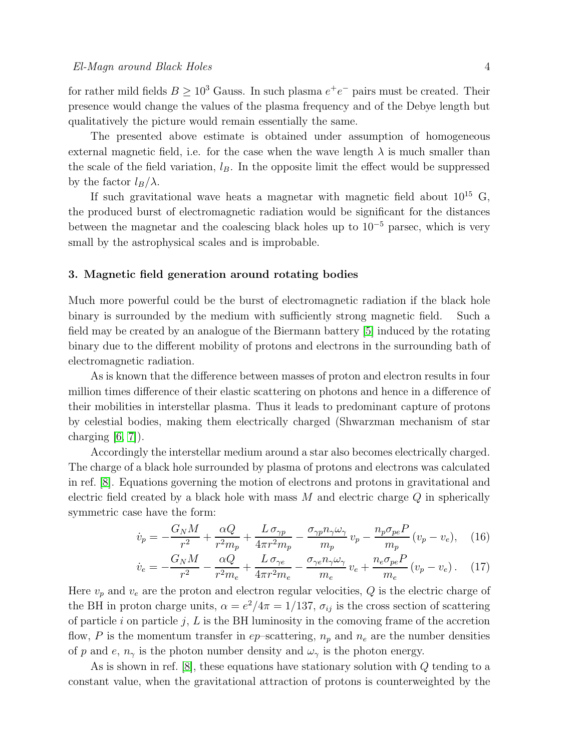for rather mild fields  $B \ge 10^3$  Gauss. In such plasma  $e^+e^-$  pairs must be created. Their presence would change the values of the plasma frequency and of the Debye length but qualitatively the picture would remain essentially the same.

The presented above estimate is obtained under assumption of homogeneous external magnetic field, i.e. for the case when the wave length  $\lambda$  is much smaller than the scale of the field variation,  $l_B$ . In the opposite limit the effect would be suppressed by the factor  $l_B/\lambda$ .

If such gravitational wave heats a magnetar with magnetic field about  $10^{15}$  G, the produced burst of electromagnetic radiation would be significant for the distances between the magnetar and the coalescing black holes up to  $10^{-5}$  parsec, which is very small by the astrophysical scales and is improbable.

#### 3. Magnetic field generation around rotating bodies

Much more powerful could be the burst of electromagnetic radiation if the black hole binary is surrounded by the medium with sufficiently strong magnetic field. Such a field may be created by an analogue of the Biermann battery [\[5\]](#page-5-4) induced by the rotating binary due to the different mobility of protons and electrons in the surrounding bath of electromagnetic radiation.

As is known that the difference between masses of proton and electron results in four million times difference of their elastic scattering on photons and hence in a difference of their mobilities in interstellar plasma. Thus it leads to predominant capture of protons by celestial bodies, making them electrically charged (Shwarzman mechanism of star charging  $[6, 7]$  $[6, 7]$ .

Accordingly the interstellar medium around a star also becomes electrically charged. The charge of a black hole surrounded by plasma of protons and electrons was calculated in ref. [\[8\]](#page-5-7). Equations governing the motion of electrons and protons in gravitational and electric field created by a black hole with mass  $M$  and electric charge  $Q$  in spherically symmetric case have the form:

$$
\dot{v}_p = -\frac{G_N M}{r^2} + \frac{\alpha Q}{r^2 m_p} + \frac{L \sigma_{\gamma p}}{4\pi r^2 m_p} - \frac{\sigma_{\gamma p} n_{\gamma} \omega_{\gamma}}{m_p} v_p - \frac{n_p \sigma_{pe} P}{m_p} (v_p - v_e), \quad (16)
$$

$$
\dot{v}_e = -\frac{G_N M}{r^2} - \frac{\alpha Q}{r^2 m_e} + \frac{L \sigma_{\gamma e}}{4\pi r^2 m_e} - \frac{\sigma_{\gamma e} n_{\gamma} \omega_{\gamma}}{m_e} v_e + \frac{n_e \sigma_{pe} P}{m_e} (v_p - v_e). \tag{17}
$$

Here  $v_p$  and  $v_e$  are the proton and electron regular velocities,  $Q$  is the electric charge of the BH in proton charge units,  $\alpha = e^2/4\pi = 1/137$ ,  $\sigma_{ij}$  is the cross section of scattering of particle i on particle j,  $L$  is the BH luminosity in the comoving frame of the accretion flow, P is the momentum transfer in  $ep$ -scattering,  $n_p$  and  $n_e$  are the number densities of p and e,  $n_{\gamma}$  is the photon number density and  $\omega_{\gamma}$  is the photon energy.

As is shown in ref.  $[8]$ , these equations have stationary solution with  $Q$  tending to a constant value, when the gravitational attraction of protons is counterweighted by the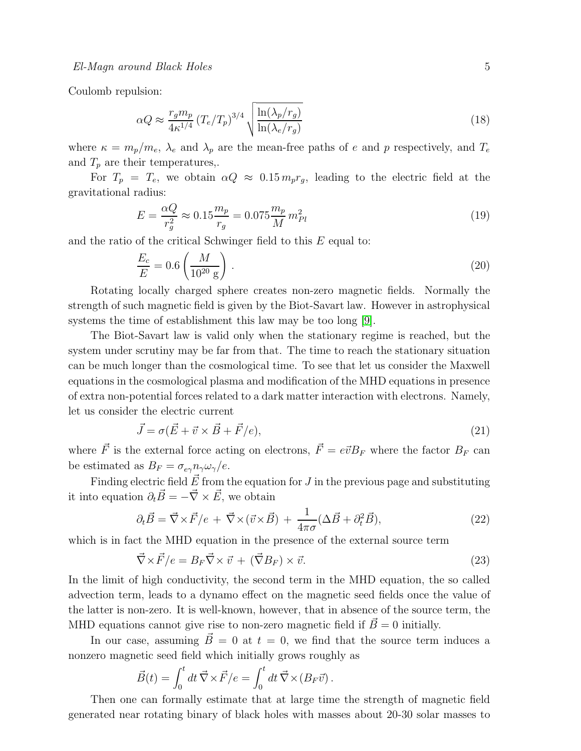Coulomb repulsion:

$$
\alpha Q \approx \frac{r_g m_p}{4\kappa^{1/4}} \left( T_e / T_p \right)^{3/4} \sqrt{\frac{\ln(\lambda_p/r_g)}{\ln(\lambda_e/r_g)}}
$$
(18)

where  $\kappa = m_p/m_e$ ,  $\lambda_e$  and  $\lambda_p$  are the mean-free paths of e and p respectively, and  $T_e$ and  $T_p$  are their temperatures,.

For  $T_p = T_e$ , we obtain  $\alpha Q \approx 0.15 m_p r_q$ , leading to the electric field at the gravitational radius:

$$
E = \frac{\alpha Q}{r_g^2} \approx 0.15 \frac{m_p}{r_g} = 0.075 \frac{m_p}{M} m_{Pl}^2 \tag{19}
$$

and the ratio of the critical Schwinger field to this E equal to:

$$
\frac{E_c}{E} = 0.6 \left(\frac{M}{10^{20} \text{ g}}\right). \tag{20}
$$

Rotating locally charged sphere creates non-zero magnetic fields. Normally the strength of such magnetic field is given by the Biot-Savart law. However in astrophysical systems the time of establishment this law may be too long [\[9\]](#page-5-8).

The Biot-Savart law is valid only when the stationary regime is reached, but the system under scrutiny may be far from that. The time to reach the stationary situation can be much longer than the cosmological time. To see that let us consider the Maxwell equations in the cosmological plasma and modification of the MHD equations in presence of extra non-potential forces related to a dark matter interaction with electrons. Namely, let us consider the electric current

$$
\vec{J} = \sigma(\vec{E} + \vec{v} \times \vec{B} + \vec{F}/e),\tag{21}
$$

where  $\vec{F}$  is the external force acting on electrons,  $\vec{F} = e\vec{v}B_F$  where the factor  $B_F$  can be estimated as  $B_F = \sigma_{e\gamma} n_{\gamma} \omega_{\gamma}/e$ .

Finding electric field  $\vec{E}$  from the equation for J in the previous page and substituting it into equation  $\partial_t \vec{B} = -\vec{\nabla} \times \vec{E}$ , we obtain

$$
\partial_t \vec{B} = \vec{\nabla} \times \vec{F}/e + \vec{\nabla} \times (\vec{v} \times \vec{B}) + \frac{1}{4\pi\sigma} (\Delta \vec{B} + \partial_t^2 \vec{B}), \tag{22}
$$

which is in fact the MHD equation in the presence of the external source term

$$
\vec{\nabla} \times \vec{F}/e = B_F \vec{\nabla} \times \vec{v} + (\vec{\nabla} B_F) \times \vec{v}.
$$
 (23)

In the limit of high conductivity, the second term in the MHD equation, the so called advection term, leads to a dynamo effect on the magnetic seed fields once the value of the latter is non-zero. It is well-known, however, that in absence of the source term, the MHD equations cannot give rise to non-zero magnetic field if  $\vec{B}=0$  initially.

In our case, assuming  $\vec{B} = 0$  at  $t = 0$ , we find that the source term induces a nonzero magnetic seed field which initially grows roughly as

$$
\vec{B}(t) = \int_0^t dt \vec{\nabla} \times \vec{F}/e = \int_0^t dt \vec{\nabla} \times (B_F \vec{v}).
$$

Then one can formally estimate that at large time the strength of magnetic field generated near rotating binary of black holes with masses about 20-30 solar masses to